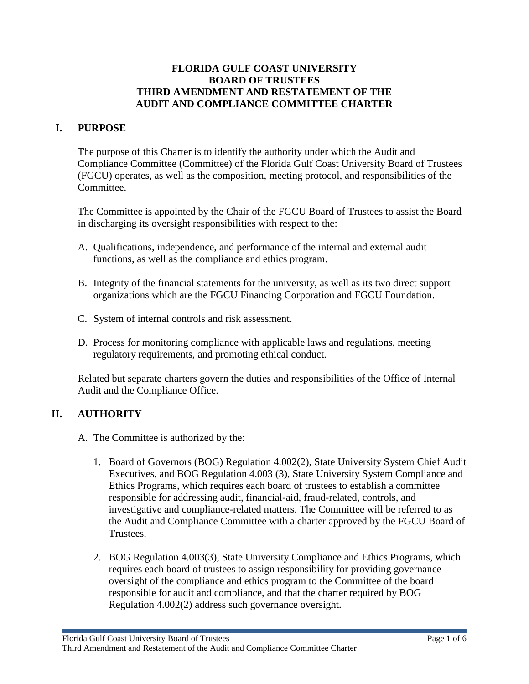### **FLORIDA GULF COAST UNIVERSITY BOARD OF TRUSTEES THIRD AMENDMENT AND RESTATEMENT OF THE AUDIT AND COMPLIANCE COMMITTEE CHARTER**

### **I. PURPOSE**

The purpose of this Charter is to identify the authority under which the Audit and Compliance Committee (Committee) of the Florida Gulf Coast University Board of Trustees (FGCU) operates, as well as the composition, meeting protocol, and responsibilities of the Committee.

The Committee is appointed by the Chair of the FGCU Board of Trustees to assist the Board in discharging its oversight responsibilities with respect to the:

- A. Qualifications, independence, and performance of the internal and external audit functions, as well as the compliance and ethics program.
- B. Integrity of the financial statements for the university, as well as its two direct support organizations which are the FGCU Financing Corporation and FGCU Foundation.
- C. System of internal controls and risk assessment.
- D. Process for monitoring compliance with applicable laws and regulations, meeting regulatory requirements, and promoting ethical conduct.

Related but separate charters govern the duties and responsibilities of the Office of Internal Audit and the Compliance Office.

# **II. AUTHORITY**

- A. The Committee is authorized by the:
	- 1. Board of Governors (BOG) Regulation 4.002(2), State University System Chief Audit Executives, and BOG Regulation 4.003 (3), State University System Compliance and Ethics Programs, which requires each board of trustees to establish a committee responsible for addressing audit, financial-aid, fraud-related, controls, and investigative and compliance-related matters. The Committee will be referred to as the Audit and Compliance Committee with a charter approved by the FGCU Board of Trustees.
	- 2. BOG Regulation 4.003(3), State University Compliance and Ethics Programs, which requires each board of trustees to assign responsibility for providing governance oversight of the compliance and ethics program to the Committee of the board responsible for audit and compliance, and that the charter required by BOG Regulation 4.002(2) address such governance oversight.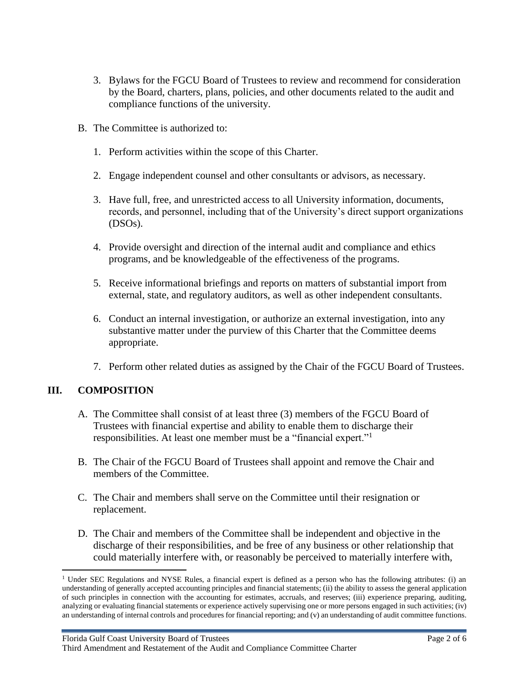- 3. Bylaws for the FGCU Board of Trustees to review and recommend for consideration by the Board, charters, plans, policies, and other documents related to the audit and compliance functions of the university.
- B. The Committee is authorized to:
	- 1. Perform activities within the scope of this Charter.
	- 2. Engage independent counsel and other consultants or advisors, as necessary.
	- 3. Have full, free, and unrestricted access to all University information, documents, records, and personnel, including that of the University's direct support organizations (DSOs).
	- 4. Provide oversight and direction of the internal audit and compliance and ethics programs, and be knowledgeable of the effectiveness of the programs.
	- 5. Receive informational briefings and reports on matters of substantial import from external, state, and regulatory auditors, as well as other independent consultants.
	- 6. Conduct an internal investigation, or authorize an external investigation, into any substantive matter under the purview of this Charter that the Committee deems appropriate.
	- 7. Perform other related duties as assigned by the Chair of the FGCU Board of Trustees.

# **III. COMPOSITION**

 $\overline{\phantom{a}}$ 

- A. The Committee shall consist of at least three (3) members of the FGCU Board of Trustees with financial expertise and ability to enable them to discharge their responsibilities. At least one member must be a "financial expert."<sup>1</sup>
- B. The Chair of the FGCU Board of Trustees shall appoint and remove the Chair and members of the Committee.
- C. The Chair and members shall serve on the Committee until their resignation or replacement.
- D. The Chair and members of the Committee shall be independent and objective in the discharge of their responsibilities, and be free of any business or other relationship that could materially interfere with, or reasonably be perceived to materially interfere with,

<sup>&</sup>lt;sup>1</sup> Under SEC Regulations and NYSE Rules, a financial expert is defined as a person who has the following attributes: (i) an understanding of generally accepted accounting principles and financial statements; (ii) the ability to assess the general application of such principles in connection with the accounting for estimates, accruals, and reserves; (iii) experience preparing, auditing, analyzing or evaluating financial statements or experience actively supervising one or more persons engaged in such activities; (iv) an understanding of internal controls and procedures for financial reporting; and (v) an understanding of audit committee functions.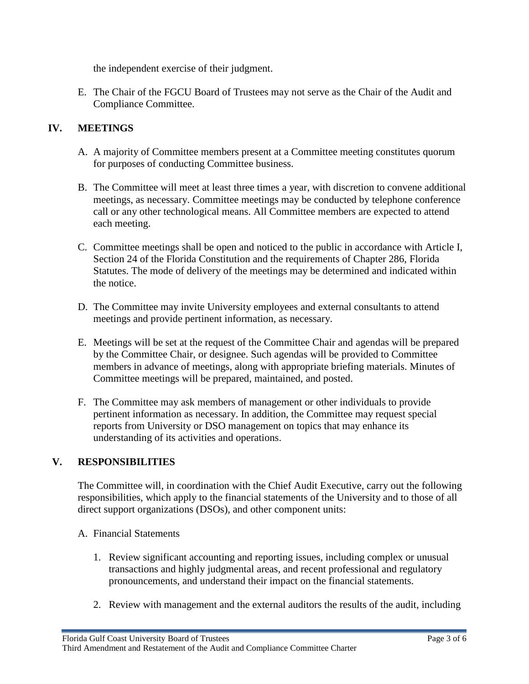the independent exercise of their judgment.

E. The Chair of the FGCU Board of Trustees may not serve as the Chair of the Audit and Compliance Committee.

### **IV. MEETINGS**

- A. A majority of Committee members present at a Committee meeting constitutes quorum for purposes of conducting Committee business.
- B. The Committee will meet at least three times a year, with discretion to convene additional meetings, as necessary. Committee meetings may be conducted by telephone conference call or any other technological means. All Committee members are expected to attend each meeting.
- C. Committee meetings shall be open and noticed to the public in accordance with Article I, Section 24 of the Florida Constitution and the requirements of Chapter 286, Florida Statutes. The mode of delivery of the meetings may be determined and indicated within the notice.
- D. The Committee may invite University employees and external consultants to attend meetings and provide pertinent information, as necessary.
- E. Meetings will be set at the request of the Committee Chair and agendas will be prepared by the Committee Chair, or designee. Such agendas will be provided to Committee members in advance of meetings, along with appropriate briefing materials. Minutes of Committee meetings will be prepared, maintained, and posted.
- F. The Committee may ask members of management or other individuals to provide pertinent information as necessary. In addition, the Committee may request special reports from University or DSO management on topics that may enhance its understanding of its activities and operations.

### **V. RESPONSIBILITIES**

The Committee will, in coordination with the Chief Audit Executive, carry out the following responsibilities, which apply to the financial statements of the University and to those of all direct support organizations (DSOs), and other component units:

#### A. Financial Statements

- 1. Review significant accounting and reporting issues, including complex or unusual transactions and highly judgmental areas, and recent professional and regulatory pronouncements, and understand their impact on the financial statements.
- 2. Review with management and the external auditors the results of the audit, including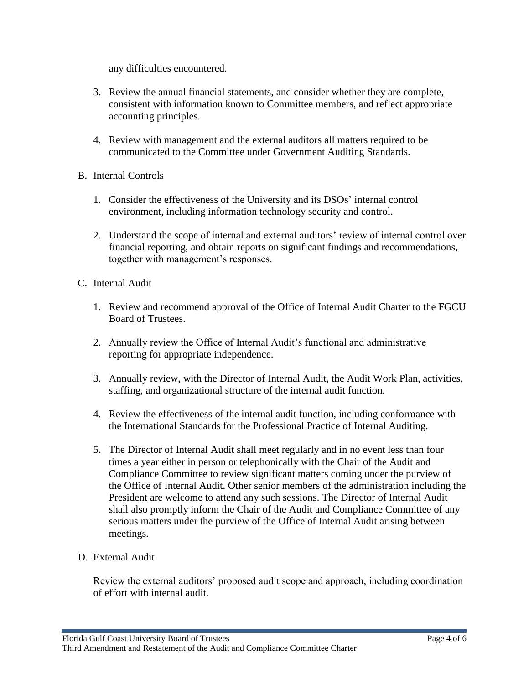any difficulties encountered.

- 3. Review the annual financial statements, and consider whether they are complete, consistent with information known to Committee members, and reflect appropriate accounting principles.
- 4. Review with management and the external auditors all matters required to be communicated to the Committee under Government Auditing Standards.
- B. Internal Controls
	- 1. Consider the effectiveness of the University and its DSOs' internal control environment, including information technology security and control.
	- 2. Understand the scope of internal and external auditors' review of internal control over financial reporting, and obtain reports on significant findings and recommendations, together with management's responses.
- C. Internal Audit
	- 1. Review and recommend approval of the Office of Internal Audit Charter to the FGCU Board of Trustees.
	- 2. Annually review the Office of Internal Audit's functional and administrative reporting for appropriate independence.
	- 3. Annually review, with the Director of Internal Audit, the Audit Work Plan, activities, staffing, and organizational structure of the internal audit function.
	- 4. Review the effectiveness of the internal audit function, including conformance with the International Standards for the Professional Practice of Internal Auditing.
	- 5. The Director of Internal Audit shall meet regularly and in no event less than four times a year either in person or telephonically with the Chair of the Audit and Compliance Committee to review significant matters coming under the purview of the Office of Internal Audit. Other senior members of the administration including the President are welcome to attend any such sessions. The Director of Internal Audit shall also promptly inform the Chair of the Audit and Compliance Committee of any serious matters under the purview of the Office of Internal Audit arising between meetings.
- D. External Audit

Review the external auditors' proposed audit scope and approach, including coordination of effort with internal audit.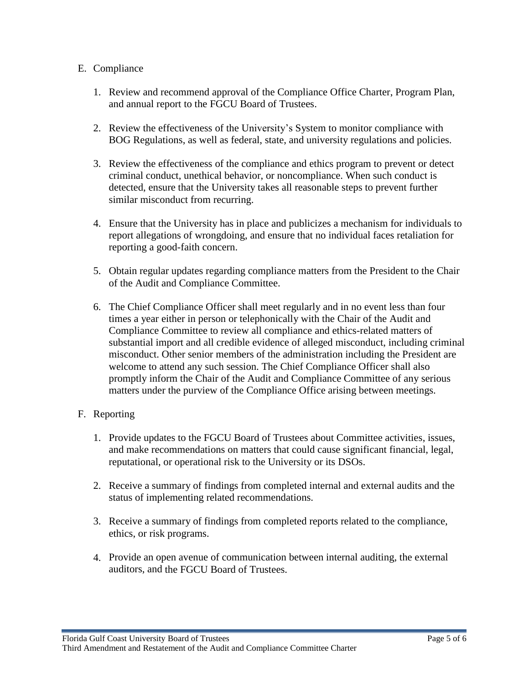### E. Compliance

- 1. Review and recommend approval of the Compliance Office Charter, Program Plan, and annual report to the FGCU Board of Trustees.
- 2. Review the effectiveness of the University's System to monitor compliance with BOG Regulations, as well as federal, state, and university regulations and policies.
- 3. Review the effectiveness of the compliance and ethics program to prevent or detect criminal conduct, unethical behavior, or noncompliance. When such conduct is detected, ensure that the University takes all reasonable steps to prevent further similar misconduct from recurring.
- 4. Ensure that the University has in place and publicizes a mechanism for individuals to report allegations of wrongdoing, and ensure that no individual faces retaliation for reporting a good-faith concern.
- 5. Obtain regular updates regarding compliance matters from the President to the Chair of the Audit and Compliance Committee.
- 6. The Chief Compliance Officer shall meet regularly and in no event less than four times a year either in person or telephonically with the Chair of the Audit and Compliance Committee to review all compliance and ethics-related matters of substantial import and all credible evidence of alleged misconduct, including criminal misconduct. Other senior members of the administration including the President are welcome to attend any such session. The Chief Compliance Officer shall also promptly inform the Chair of the Audit and Compliance Committee of any serious matters under the purview of the Compliance Office arising between meetings.

### F. Reporting

- 1. Provide updates to the FGCU Board of Trustees about Committee activities, issues, and make recommendations on matters that could cause significant financial, legal, reputational, or operational risk to the University or its DSOs.
- 2. Receive a summary of findings from completed internal and external audits and the status of implementing related recommendations.
- 3. Receive a summary of findings from completed reports related to the compliance, ethics, or risk programs.
- 4. Provide an open avenue of communication between internal auditing, the external auditors, and the FGCU Board of Trustees.